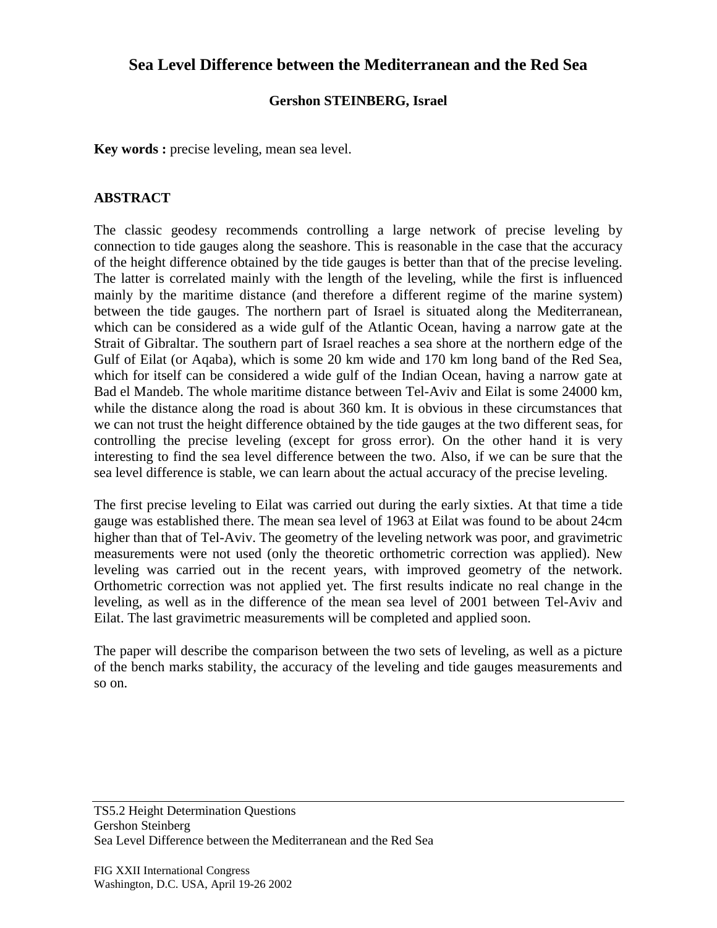## **Sea Level Difference between the Mediterranean and the Red Sea**

## **Gershon STEINBERG, Israel**

**Key words :** precise leveling, mean sea level.

## **ABSTRACT**

The classic geodesy recommends controlling a large network of precise leveling by connection to tide gauges along the seashore. This is reasonable in the case that the accuracy of the height difference obtained by the tide gauges is better than that of the precise leveling. The latter is correlated mainly with the length of the leveling, while the first is influenced mainly by the maritime distance (and therefore a different regime of the marine system) between the tide gauges. The northern part of Israel is situated along the Mediterranean, which can be considered as a wide gulf of the Atlantic Ocean, having a narrow gate at the Strait of Gibraltar. The southern part of Israel reaches a sea shore at the northern edge of the Gulf of Eilat (or Aqaba), which is some 20 km wide and 170 km long band of the Red Sea, which for itself can be considered a wide gulf of the Indian Ocean, having a narrow gate at Bad el Mandeb. The whole maritime distance between Tel-Aviv and Eilat is some 24000 km, while the distance along the road is about 360 km. It is obvious in these circumstances that we can not trust the height difference obtained by the tide gauges at the two different seas, for controlling the precise leveling (except for gross error). On the other hand it is very interesting to find the sea level difference between the two. Also, if we can be sure that the sea level difference is stable, we can learn about the actual accuracy of the precise leveling.

The first precise leveling to Eilat was carried out during the early sixties. At that time a tide gauge was established there. The mean sea level of 1963 at Eilat was found to be about 24cm higher than that of Tel-Aviv. The geometry of the leveling network was poor, and gravimetric measurements were not used (only the theoretic orthometric correction was applied). New leveling was carried out in the recent years, with improved geometry of the network. Orthometric correction was not applied yet. The first results indicate no real change in the leveling, as well as in the difference of the mean sea level of 2001 between Tel-Aviv and Eilat. The last gravimetric measurements will be completed and applied soon.

The paper will describe the comparison between the two sets of leveling, as well as a picture of the bench marks stability, the accuracy of the leveling and tide gauges measurements and so on.